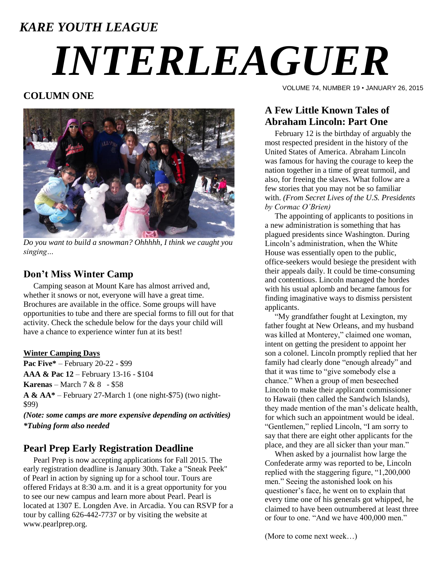# *KARE YOUTH LEAGUE INTERLEAGUER*

# **COLUMN ONE**



*Do you want to build a snowman? Ohhhhh, I think we caught you singing…*

## **Don't Miss Winter Camp**

 Camping season at Mount Kare has almost arrived and, whether it snows or not, everyone will have a great time. Brochures are available in the office. Some groups will have opportunities to tube and there are special forms to fill out for that activity. Check the schedule below for the days your child will have a chance to experience winter fun at its best!

#### **Winter Camping Days**

**Pac Five\*** – February 20-22 - \$99 **AAA & Pac 12** – February 13-16 - \$104 **Karenas** – March 7 & 8 - \$58 **A & AA\*** – February 27-March 1 (one night-\$75) (two night- \$99)

*(Note: some camps are more expensive depending on activities) \*Tubing form also needed*

## **Pearl Prep Early Registration Deadline**

 Pearl Prep is now accepting applications for Fall 2015. The early registration deadline is January 30th. Take a "Sneak Peek" of Pearl in action by signing up for a school tour. Tours are offered Fridays at 8:30 a.m. and it is a great opportunity for you to see our new campus and learn more about Pearl. Pearl is located at 1307 E. Longden Ave. in Arcadia. You can RSVP for a tour by calling 626-442-7737 or by visiting the website at www.pearlprep.org.

VOLUME 74, NUMBER 19 • JANUARY 26, 2015

# **A Few Little Known Tales of Abraham Lincoln: Part One**

 February 12 is the birthday of arguably the most respected president in the history of the United States of America. Abraham Lincoln was famous for having the courage to keep the nation together in a time of great turmoil, and also, for freeing the slaves. What follow are a few stories that you may not be so familiar with. *(From Secret Lives of the U.S. Presidents by Cormac O'Brien)*

 The appointing of applicants to positions in a new administration is something that has plagued presidents since Washington. During Lincoln's administration, when the White House was essentially open to the public, office-seekers would besiege the president with their appeals daily. It could be time-consuming and contentious. Lincoln managed the hordes with his usual aplomb and became famous for finding imaginative ways to dismiss persistent applicants.

 "My grandfather fought at Lexington, my father fought at New Orleans, and my husband was killed at Monterey," claimed one woman, intent on getting the president to appoint her son a colonel. Lincoln promptly replied that her family had clearly done "enough already" and that it was time to "give somebody else a chance." When a group of men beseeched Lincoln to make their applicant commissioner to Hawaii (then called the Sandwich Islands), they made mention of the man's delicate health, for which such an appointment would be ideal. "Gentlemen," replied Lincoln, "I am sorry to say that there are eight other applicants for the place, and they are all sicker than your man."

 When asked by a journalist how large the Confederate army was reported to be, Lincoln replied with the staggering figure, "1,200,000 men." Seeing the astonished look on his questioner's face, he went on to explain that every time one of his generals got whipped, he claimed to have been outnumbered at least three or four to one. "And we have 400,000 men."

(More to come next week…)